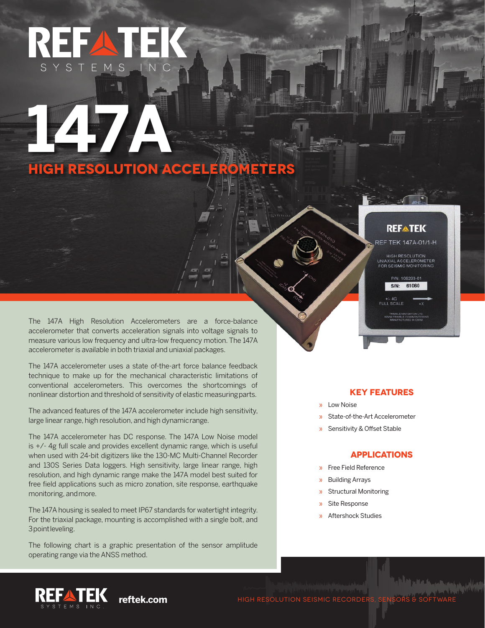# REEA SYSTEM

**147** 

**HIGH RESOLUTION ACCELEROMETERS** 

The 147A High Resolution Accelerometers are a force-balance accelerometer that converts acceleration signals into voltage signals to measure various low frequency and ultra-low frequency motion. The 147A accelerometer is available in both triaxial and uniaxial packages.

The 147A accelerometer uses a state of-the-art force balance feedback technique to make up for the mechanical characteristic limitations of conventional accelerometers. This overcomes the shortcomings of nonlinear distortion and threshold of sensitivity of elastic measuring parts.

The advanced features of the 147A accelerometer include high sensitivity, large linear range, high resolution, and high dynamic range.

The 147A accelerometer has DC response. The 147A Low Noise model is +/- 4g full scale and provides excellent dynamic range, which is useful when used with 24-bit digitizers like the 130-MC Multi-Channel Recorder and 130S Series Data loggers. High sensitivity, large linear range, high resolution, and high dynamic range make the 147A model best suited for free field applications such as micro zonation, site response, earthquake monitoring, and more.

The 147A housing is sealed to meet IP67 standards for watertight integrity. For the triaxial package, mounting is accomplished with a single bolt, and 3 point leveling.

The following chart is a graphic presentation of the sensor amplitude operating range via the ANSS method.

## **REFATEK**

REF TEK 147A-01/1-H

**HIGH RESOLUTION** UNIAXIAL ACCELEROMETER

> P/N: 106293-01 S/N: 61060

### **KEY FEATURES**

- » Low Noise
- » State-of-the-Art Accelerometer
- » Sensitivity & Offset Stable

#### **APPLICATIONS**

- » Free Field Reference
- » Building Arrays
- » Structural Monitoring
- » Site Response
- » Aftershock Studies

REFATEK **reftek.com**

HIGH RESOLUTION SEISMIC RECORDERS, SENSORS &